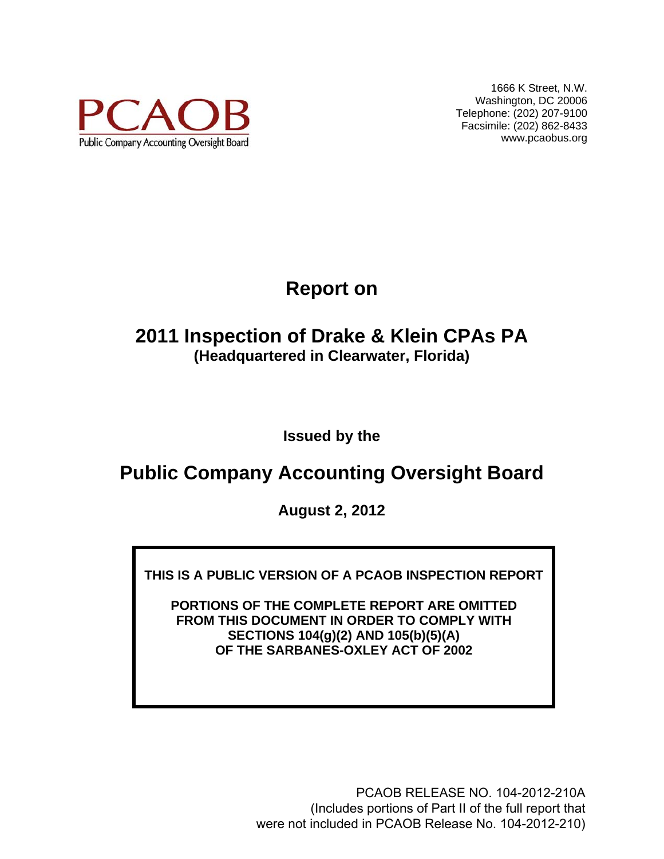

1666 K Street, N.W. Washington, DC 20006 Telephone: (202) 207-9100 Facsimile: (202) 862-8433 www.pcaobus.org

# **Report on**

## **2011 Inspection of Drake & Klein CPAs PA (Headquartered in Clearwater, Florida)**

**Issued by the** 

## **Public Company Accounting Oversight Board**

**August 2, 2012** 

**THIS IS A PUBLIC VERSION OF A PCAOB INSPECTION REPORT** 

**PORTIONS OF THE COMPLETE REPORT ARE OMITTED FROM THIS DOCUMENT IN ORDER TO COMPLY WITH SECTIONS 104(g)(2) AND 105(b)(5)(A) OF THE SARBANES-OXLEY ACT OF 2002** 

> PCAOB RELEASE NO. 104-2012-210A (Includes portions of Part II of the full report that were not included in PCAOB Release No. 104-2012-210)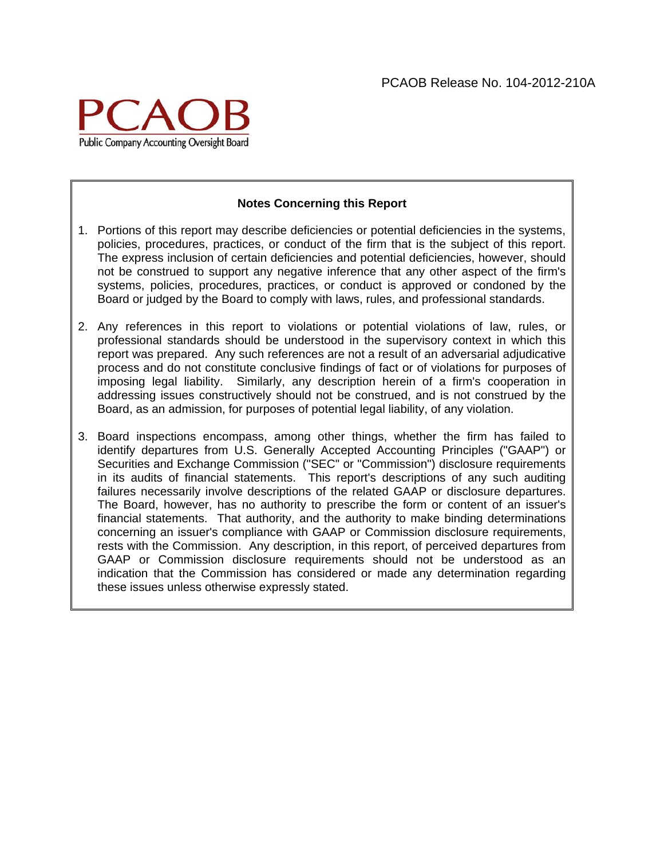

#### **Notes Concerning this Report**

- 1. Portions of this report may describe deficiencies or potential deficiencies in the systems, policies, procedures, practices, or conduct of the firm that is the subject of this report. The express inclusion of certain deficiencies and potential deficiencies, however, should not be construed to support any negative inference that any other aspect of the firm's systems, policies, procedures, practices, or conduct is approved or condoned by the Board or judged by the Board to comply with laws, rules, and professional standards.
- 2. Any references in this report to violations or potential violations of law, rules, or professional standards should be understood in the supervisory context in which this report was prepared. Any such references are not a result of an adversarial adjudicative process and do not constitute conclusive findings of fact or of violations for purposes of imposing legal liability. Similarly, any description herein of a firm's cooperation in addressing issues constructively should not be construed, and is not construed by the Board, as an admission, for purposes of potential legal liability, of any violation.
- 3. Board inspections encompass, among other things, whether the firm has failed to identify departures from U.S. Generally Accepted Accounting Principles ("GAAP") or Securities and Exchange Commission ("SEC" or "Commission") disclosure requirements in its audits of financial statements. This report's descriptions of any such auditing failures necessarily involve descriptions of the related GAAP or disclosure departures. The Board, however, has no authority to prescribe the form or content of an issuer's financial statements. That authority, and the authority to make binding determinations concerning an issuer's compliance with GAAP or Commission disclosure requirements, rests with the Commission. Any description, in this report, of perceived departures from GAAP or Commission disclosure requirements should not be understood as an indication that the Commission has considered or made any determination regarding these issues unless otherwise expressly stated.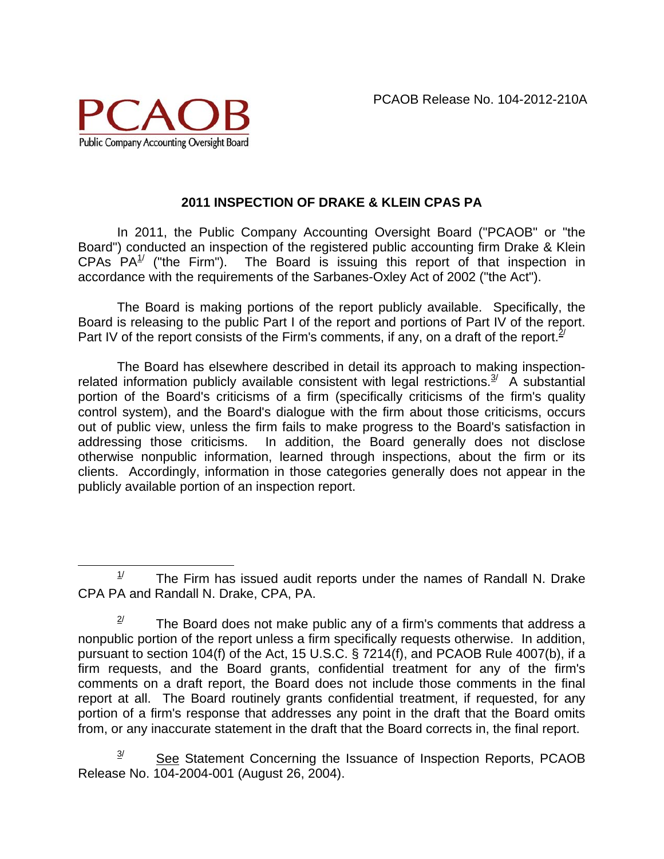

#### **2011 INSPECTION OF DRAKE & KLEIN CPAS PA**

In 2011, the Public Company Accounting Oversight Board ("PCAOB" or "the Board") conducted an inspection of the registered public accounting firm Drake & Klein CPAs  $PA^1$  ("the Firm"). The Board is issuing this report of that inspection in accordance with the requirements of the Sarbanes-Oxley Act of 2002 ("the Act").

The Board is making portions of the report publicly available. Specifically, the Board is releasing to the public Part I of the report and portions of Part IV of the report. Part IV of the report consists of the Firm's comments, if any, on a draft of the report.  $2^{\prime}$ 

The Board has elsewhere described in detail its approach to making inspectionrelated information publicly available consistent with legal restrictions. $3/4$  A substantial portion of the Board's criticisms of a firm (specifically criticisms of the firm's quality control system), and the Board's dialogue with the firm about those criticisms, occurs out of public view, unless the firm fails to make progress to the Board's satisfaction in addressing those criticisms. In addition, the Board generally does not disclose otherwise nonpublic information, learned through inspections, about the firm or its clients. Accordingly, information in those categories generally does not appear in the publicly available portion of an inspection report.

 $\overline{a}$  $1/$  The Firm has issued audit reports under the names of Randall N. Drake CPA PA and Randall N. Drake, CPA, PA.

 $2^{\prime}$  The Board does not make public any of a firm's comments that address a nonpublic portion of the report unless a firm specifically requests otherwise. In addition, pursuant to section 104(f) of the Act, 15 U.S.C. § 7214(f), and PCAOB Rule 4007(b), if a firm requests, and the Board grants, confidential treatment for any of the firm's comments on a draft report, the Board does not include those comments in the final report at all. The Board routinely grants confidential treatment, if requested, for any portion of a firm's response that addresses any point in the draft that the Board omits from, or any inaccurate statement in the draft that the Board corrects in, the final report.

 $3$  See Statement Concerning the Issuance of Inspection Reports, PCAOB Release No. 104-2004-001 (August 26, 2004).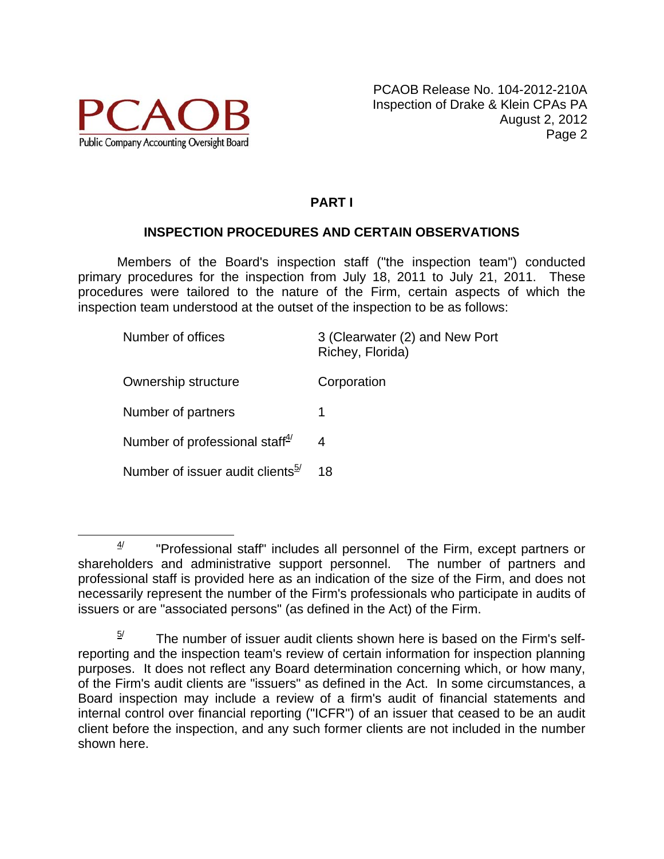

## **PART I**

### **INSPECTION PROCEDURES AND CERTAIN OBSERVATIONS**

Members of the Board's inspection staff ("the inspection team") conducted primary procedures for the inspection from July 18, 2011 to July 21, 2011. These procedures were tailored to the nature of the Firm, certain aspects of which the inspection team understood at the outset of the inspection to be as follows:

| Number of offices                            | 3 (Clearwater (2) and New Port<br>Richey, Florida) |
|----------------------------------------------|----------------------------------------------------|
| Ownership structure                          | Corporation                                        |
| Number of partners                           | 1                                                  |
| Number of professional staff $\frac{4}{3}$   | 4                                                  |
| Number of issuer audit clients <sup>5/</sup> | 18                                                 |
|                                              |                                                    |

 $4/$  "Professional staff" includes all personnel of the Firm, except partners or shareholders and administrative support personnel. The number of partners and professional staff is provided here as an indication of the size of the Firm, and does not necessarily represent the number of the Firm's professionals who participate in audits of issuers or are "associated persons" (as defined in the Act) of the Firm.

The number of issuer audit clients shown here is based on the Firm's selfreporting and the inspection team's review of certain information for inspection planning purposes. It does not reflect any Board determination concerning which, or how many, of the Firm's audit clients are "issuers" as defined in the Act. In some circumstances, a Board inspection may include a review of a firm's audit of financial statements and internal control over financial reporting ("ICFR") of an issuer that ceased to be an audit client before the inspection, and any such former clients are not included in the number shown here.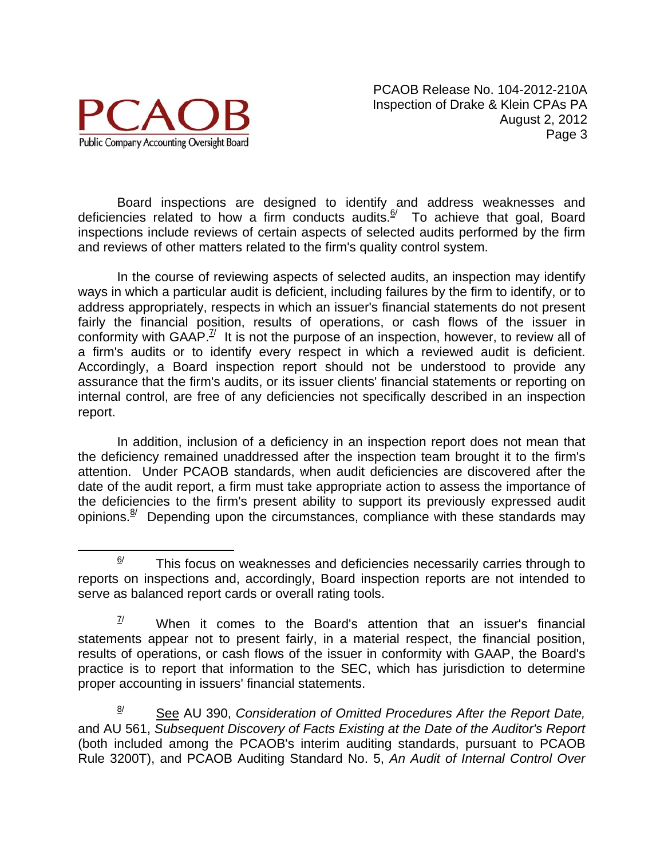

Board inspections are designed to identify and address weaknesses and deficiencies related to how a firm conducts audits. $\frac{6}{7}$  To achieve that goal, Board inspections include reviews of certain aspects of selected audits performed by the firm and reviews of other matters related to the firm's quality control system.

In the course of reviewing aspects of selected audits, an inspection may identify ways in which a particular audit is deficient, including failures by the firm to identify, or to address appropriately, respects in which an issuer's financial statements do not present fairly the financial position, results of operations, or cash flows of the issuer in conformity with  $GAAP<sup>7</sup>$  It is not the purpose of an inspection, however, to review all of a firm's audits or to identify every respect in which a reviewed audit is deficient. Accordingly, a Board inspection report should not be understood to provide any assurance that the firm's audits, or its issuer clients' financial statements or reporting on internal control, are free of any deficiencies not specifically described in an inspection report.

In addition, inclusion of a deficiency in an inspection report does not mean that the deficiency remained unaddressed after the inspection team brought it to the firm's attention. Under PCAOB standards, when audit deficiencies are discovered after the date of the audit report, a firm must take appropriate action to assess the importance of the deficiencies to the firm's present ability to support its previously expressed audit opinions. $8/$  Depending upon the circumstances, compliance with these standards may

 8/ See AU 390, *Consideration of Omitted Procedures After the Report Date,* and AU 561, *Subsequent Discovery of Facts Existing at the Date of the Auditor's Report*  (both included among the PCAOB's interim auditing standards, pursuant to PCAOB Rule 3200T), and PCAOB Auditing Standard No. 5, *An Audit of Internal Control Over* 

 $\frac{6}{1}$  This focus on weaknesses and deficiencies necessarily carries through to reports on inspections and, accordingly, Board inspection reports are not intended to serve as balanced report cards or overall rating tools.

 $\frac{7}{10}$  When it comes to the Board's attention that an issuer's financial statements appear not to present fairly, in a material respect, the financial position, results of operations, or cash flows of the issuer in conformity with GAAP, the Board's practice is to report that information to the SEC, which has jurisdiction to determine proper accounting in issuers' financial statements.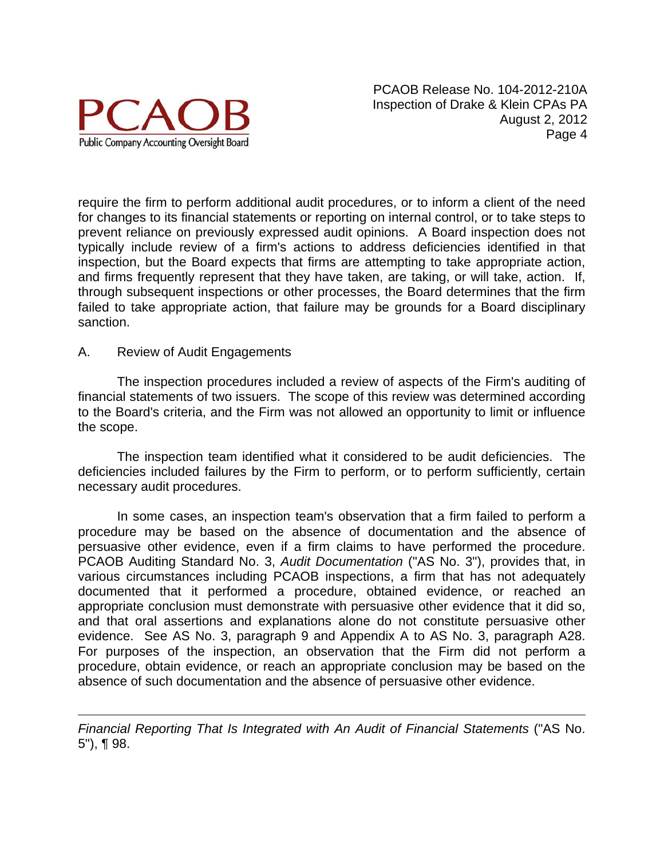

require the firm to perform additional audit procedures, or to inform a client of the need for changes to its financial statements or reporting on internal control, or to take steps to prevent reliance on previously expressed audit opinions. A Board inspection does not typically include review of a firm's actions to address deficiencies identified in that inspection, but the Board expects that firms are attempting to take appropriate action, and firms frequently represent that they have taken, are taking, or will take, action. If, through subsequent inspections or other processes, the Board determines that the firm failed to take appropriate action, that failure may be grounds for a Board disciplinary sanction.

#### A. Review of Audit Engagements

 $\overline{a}$ 

The inspection procedures included a review of aspects of the Firm's auditing of financial statements of two issuers. The scope of this review was determined according to the Board's criteria, and the Firm was not allowed an opportunity to limit or influence the scope.

The inspection team identified what it considered to be audit deficiencies. The deficiencies included failures by the Firm to perform, or to perform sufficiently, certain necessary audit procedures.

In some cases, an inspection team's observation that a firm failed to perform a procedure may be based on the absence of documentation and the absence of persuasive other evidence, even if a firm claims to have performed the procedure. PCAOB Auditing Standard No. 3, *Audit Documentation* ("AS No. 3"), provides that, in various circumstances including PCAOB inspections, a firm that has not adequately documented that it performed a procedure, obtained evidence, or reached an appropriate conclusion must demonstrate with persuasive other evidence that it did so, and that oral assertions and explanations alone do not constitute persuasive other evidence. See AS No. 3, paragraph 9 and Appendix A to AS No. 3, paragraph A28. For purposes of the inspection, an observation that the Firm did not perform a procedure, obtain evidence, or reach an appropriate conclusion may be based on the absence of such documentation and the absence of persuasive other evidence.

*Financial Reporting That Is Integrated with An Audit of Financial Statements* ("AS No. 5"), ¶ 98.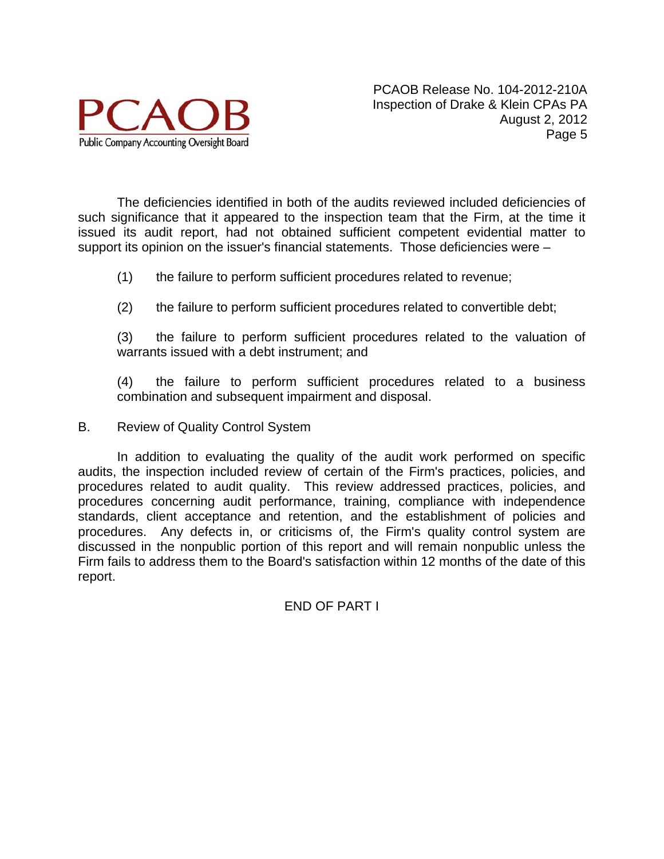

The deficiencies identified in both of the audits reviewed included deficiencies of such significance that it appeared to the inspection team that the Firm, at the time it issued its audit report, had not obtained sufficient competent evidential matter to support its opinion on the issuer's financial statements. Those deficiencies were –

- (1) the failure to perform sufficient procedures related to revenue;
- (2) the failure to perform sufficient procedures related to convertible debt;

(3) the failure to perform sufficient procedures related to the valuation of warrants issued with a debt instrument; and

(4) the failure to perform sufficient procedures related to a business combination and subsequent impairment and disposal.

B. Review of Quality Control System

In addition to evaluating the quality of the audit work performed on specific audits, the inspection included review of certain of the Firm's practices, policies, and procedures related to audit quality. This review addressed practices, policies, and procedures concerning audit performance, training, compliance with independence standards, client acceptance and retention, and the establishment of policies and procedures. Any defects in, or criticisms of, the Firm's quality control system are discussed in the nonpublic portion of this report and will remain nonpublic unless the Firm fails to address them to the Board's satisfaction within 12 months of the date of this report.

END OF PART I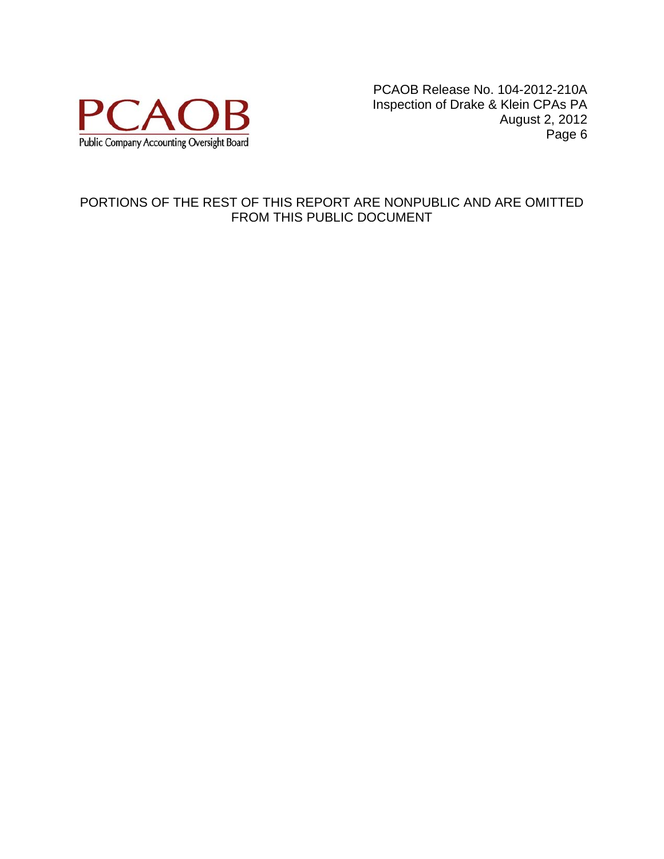

#### PORTIONS OF THE REST OF THIS REPORT ARE NONPUBLIC AND ARE OMITTED FROM THIS PUBLIC DOCUMENT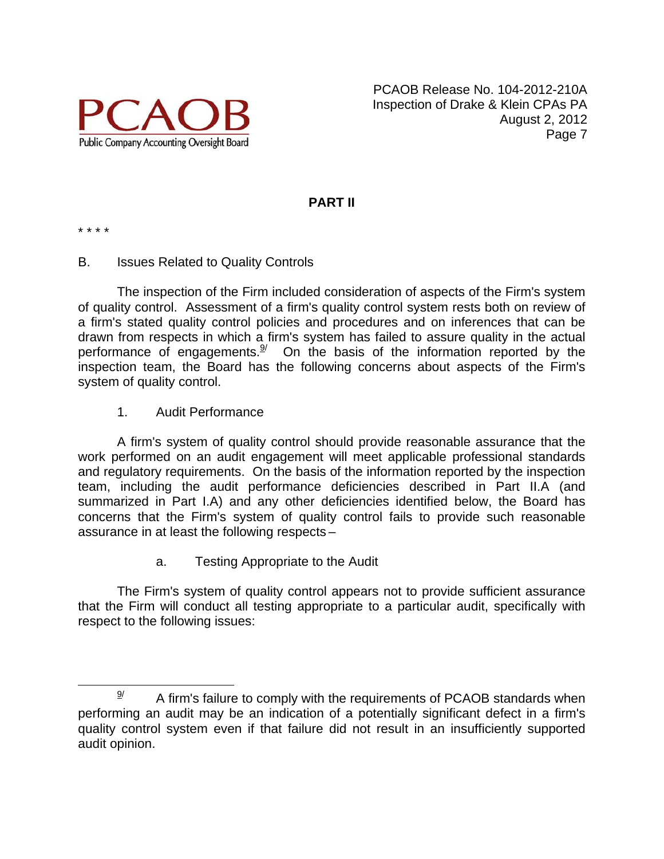

#### **PART II**

\* \* \* \*

#### B. Issues Related to Quality Controls

The inspection of the Firm included consideration of aspects of the Firm's system of quality control. Assessment of a firm's quality control system rests both on review of a firm's stated quality control policies and procedures and on inferences that can be drawn from respects in which a firm's system has failed to assure quality in the actual performance of engagements. $\frac{9}{2}$  On the basis of the information reported by the inspection team, the Board has the following concerns about aspects of the Firm's system of quality control.

#### 1. Audit Performance

A firm's system of quality control should provide reasonable assurance that the work performed on an audit engagement will meet applicable professional standards and regulatory requirements. On the basis of the information reported by the inspection team, including the audit performance deficiencies described in Part II.A (and summarized in Part I.A) and any other deficiencies identified below, the Board has concerns that the Firm's system of quality control fails to provide such reasonable assurance in at least the following respects –

a. Testing Appropriate to the Audit

The Firm's system of quality control appears not to provide sufficient assurance that the Firm will conduct all testing appropriate to a particular audit, specifically with respect to the following issues:

 $\frac{9}{2}$  A firm's failure to comply with the requirements of PCAOB standards when performing an audit may be an indication of a potentially significant defect in a firm's quality control system even if that failure did not result in an insufficiently supported audit opinion.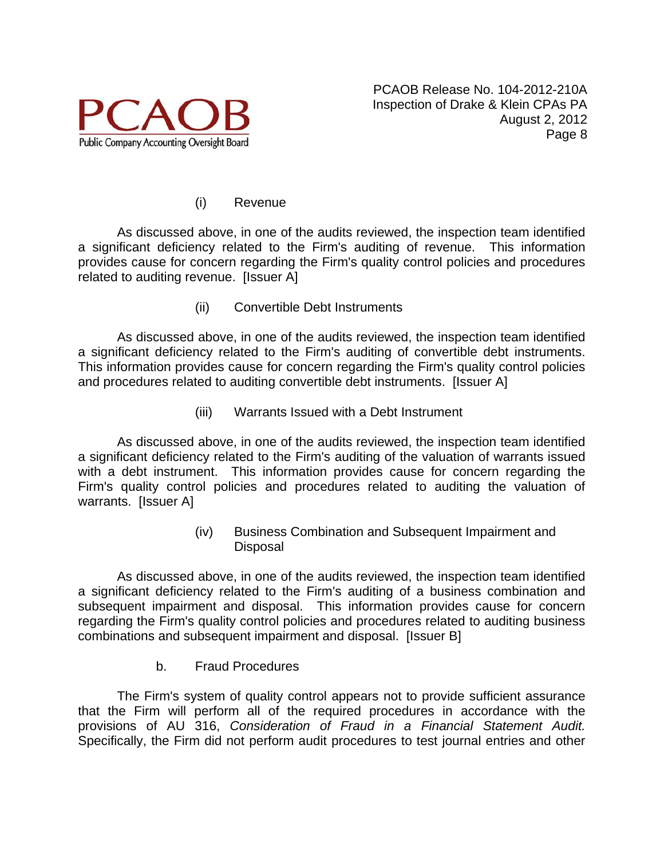

#### (i) Revenue

 As discussed above, in one of the audits reviewed, the inspection team identified a significant deficiency related to the Firm's auditing of revenue. This information provides cause for concern regarding the Firm's quality control policies and procedures related to auditing revenue. [Issuer A]

(ii) Convertible Debt Instruments

 As discussed above, in one of the audits reviewed, the inspection team identified a significant deficiency related to the Firm's auditing of convertible debt instruments. This information provides cause for concern regarding the Firm's quality control policies and procedures related to auditing convertible debt instruments. [Issuer A]

(iii) Warrants Issued with a Debt Instrument

 As discussed above, in one of the audits reviewed, the inspection team identified a significant deficiency related to the Firm's auditing of the valuation of warrants issued with a debt instrument. This information provides cause for concern regarding the Firm's quality control policies and procedures related to auditing the valuation of warrants. [Issuer A]

> (iv) Business Combination and Subsequent Impairment and Disposal

 As discussed above, in one of the audits reviewed, the inspection team identified a significant deficiency related to the Firm's auditing of a business combination and subsequent impairment and disposal. This information provides cause for concern regarding the Firm's quality control policies and procedures related to auditing business combinations and subsequent impairment and disposal. [Issuer B]

b. Fraud Procedures

The Firm's system of quality control appears not to provide sufficient assurance that the Firm will perform all of the required procedures in accordance with the provisions of AU 316, *Consideration of Fraud in a Financial Statement Audit.* Specifically, the Firm did not perform audit procedures to test journal entries and other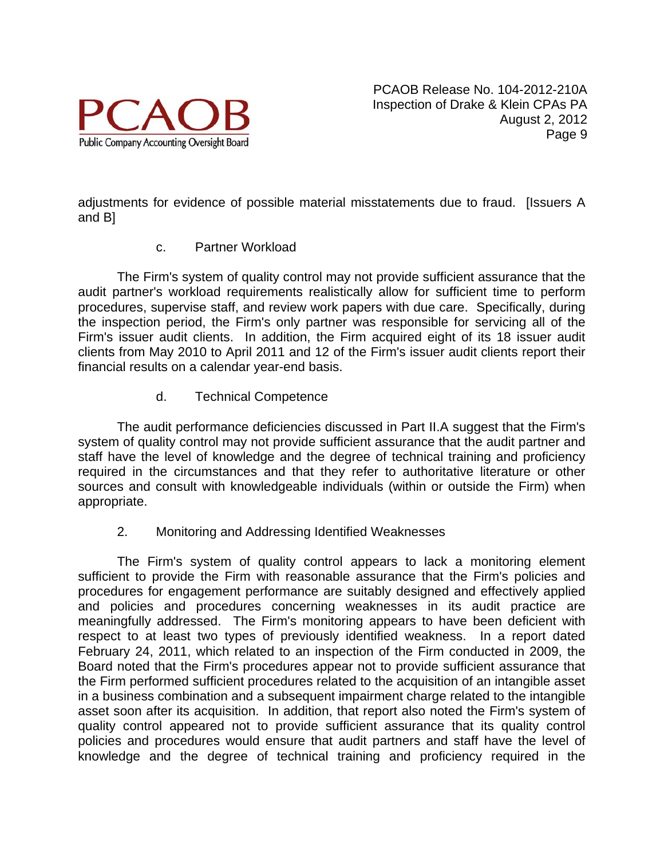

adjustments for evidence of possible material misstatements due to fraud. [Issuers A and B]

#### c. Partner Workload

The Firm's system of quality control may not provide sufficient assurance that the audit partner's workload requirements realistically allow for sufficient time to perform procedures, supervise staff, and review work papers with due care. Specifically, during the inspection period, the Firm's only partner was responsible for servicing all of the Firm's issuer audit clients. In addition, the Firm acquired eight of its 18 issuer audit clients from May 2010 to April 2011 and 12 of the Firm's issuer audit clients report their financial results on a calendar year-end basis.

d. Technical Competence

The audit performance deficiencies discussed in Part II.A suggest that the Firm's system of quality control may not provide sufficient assurance that the audit partner and staff have the level of knowledge and the degree of technical training and proficiency required in the circumstances and that they refer to authoritative literature or other sources and consult with knowledgeable individuals (within or outside the Firm) when appropriate.

2. Monitoring and Addressing Identified Weaknesses

 The Firm's system of quality control appears to lack a monitoring element sufficient to provide the Firm with reasonable assurance that the Firm's policies and procedures for engagement performance are suitably designed and effectively applied and policies and procedures concerning weaknesses in its audit practice are meaningfully addressed. The Firm's monitoring appears to have been deficient with respect to at least two types of previously identified weakness. In a report dated February 24, 2011, which related to an inspection of the Firm conducted in 2009, the Board noted that the Firm's procedures appear not to provide sufficient assurance that the Firm performed sufficient procedures related to the acquisition of an intangible asset in a business combination and a subsequent impairment charge related to the intangible asset soon after its acquisition. In addition, that report also noted the Firm's system of quality control appeared not to provide sufficient assurance that its quality control policies and procedures would ensure that audit partners and staff have the level of knowledge and the degree of technical training and proficiency required in the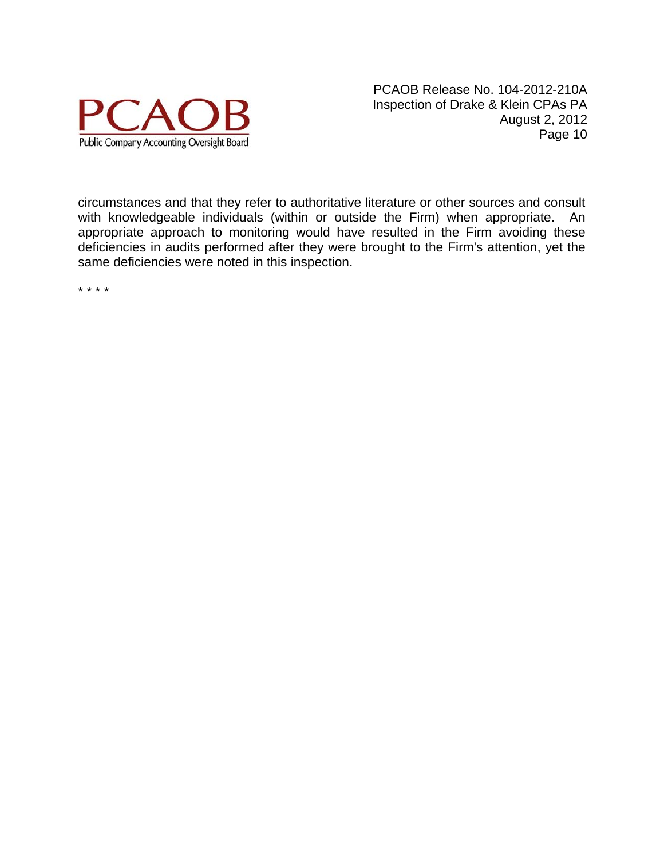

circumstances and that they refer to authoritative literature or other sources and consult with knowledgeable individuals (within or outside the Firm) when appropriate. An appropriate approach to monitoring would have resulted in the Firm avoiding these deficiencies in audits performed after they were brought to the Firm's attention, yet the same deficiencies were noted in this inspection.

\* \* \* \*